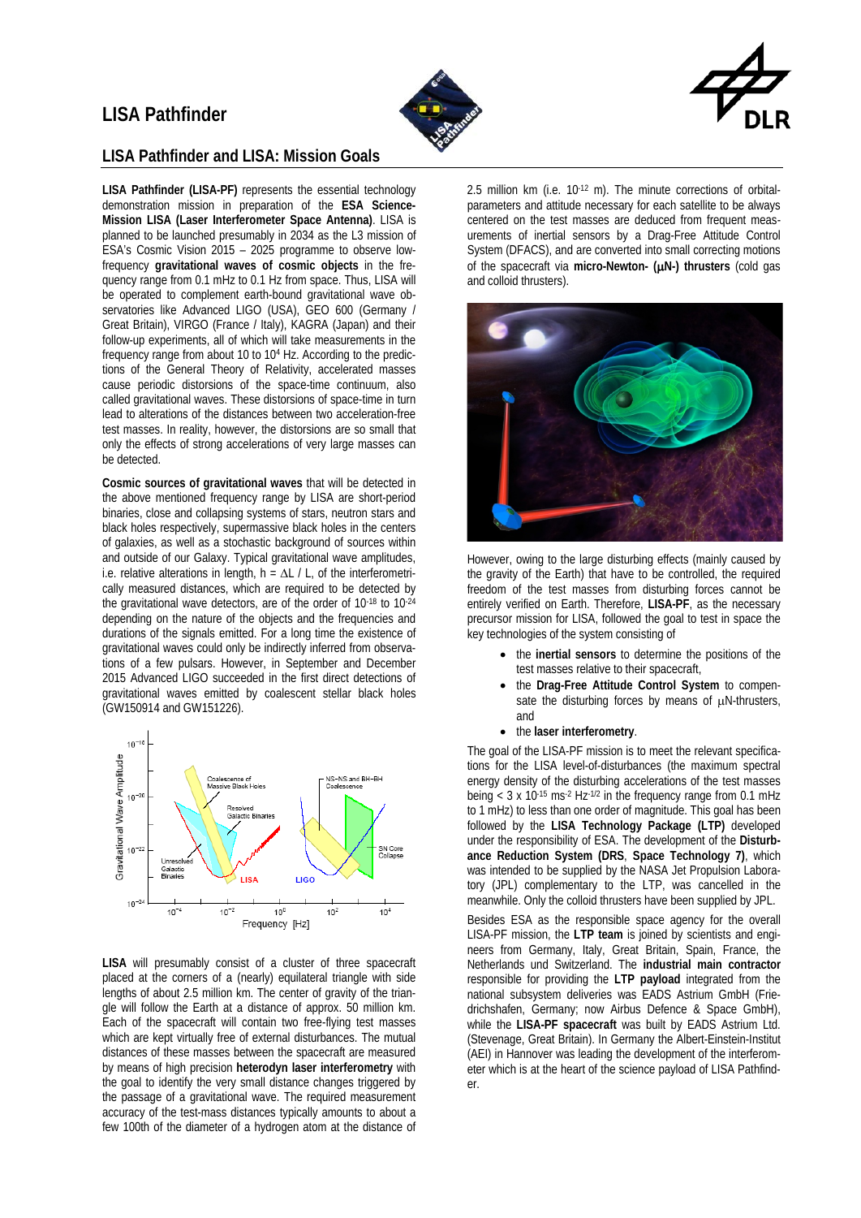# **LISA Pathfinder**





#### **LISA Pathfinder and LISA: Mission Goals**

**LISA Pathfinder (LISA-PF)** represents the essential technology demonstration mission in preparation of the **ESA Science-Mission LISA (Laser Interferometer Space Antenna)**. LISA is planned to be launched presumably in 2034 as the L3 mission of ESA's Cosmic Vision 2015 – 2025 programme to observe lowfrequency **gravitational waves of cosmic objects** in the frequency range from 0.1 mHz to 0.1 Hz from space. Thus, LISA will be operated to complement earth-bound gravitational wave observatories like Advanced LIGO (USA), GEO 600 (Germany / Great Britain), VIRGO (France / Italy), KAGRA (Japan) and their follow-up experiments, all of which will take measurements in the frequency range from about 10 to 104 Hz. According to the predictions of the General Theory of Relativity, accelerated masses cause periodic distorsions of the space-time continuum, also called gravitational waves. These distorsions of space-time in turn lead to alterations of the distances between two acceleration-free test masses. In reality, however, the distorsions are so small that only the effects of strong accelerations of very large masses can be detected.

**Cosmic sources of gravitational waves** that will be detected in the above mentioned frequency range by LISA are short-period binaries, close and collapsing systems of stars, neutron stars and black holes respectively, supermassive black holes in the centers of galaxies, as well as a stochastic background of sources within and outside of our Galaxy. Typical gravitational wave amplitudes, i.e. relative alterations in length,  $h = \Delta L / L$ , of the interferometrically measured distances, which are required to be detected by the gravitational wave detectors, are of the order of  $10^{-18}$  to  $10^{-24}$ depending on the nature of the objects and the frequencies and durations of the signals emitted. For a long time the existence of gravitational waves could only be indirectly inferred from observations of a few pulsars. However, in September and December 2015 Advanced LIGO succeeded in the first direct detections of gravitational waves emitted by coalescent stellar black holes (GW150914 and GW151226).



**LISA** will presumably consist of a cluster of three spacecraft placed at the corners of a (nearly) equilateral triangle with side lengths of about 2.5 million km. The center of gravity of the triangle will follow the Earth at a distance of approx. 50 million km. Each of the spacecraft will contain two free-flying test masses which are kept virtually free of external disturbances. The mutual distances of these masses between the spacecraft are measured by means of high precision **heterodyn laser interferometry** with the goal to identify the very small distance changes triggered by the passage of a gravitational wave. The required measurement accuracy of the test-mass distances typically amounts to about a few 100th of the diameter of a hydrogen atom at the distance of

2.5 million km (i.e. 10-12 m). The minute corrections of orbitalparameters and attitude necessary for each satellite to be always centered on the test masses are deduced from frequent measurements of inertial sensors by a Drag-Free Attitude Control System (DFACS), and are converted into small correcting motions of the spacecraft via **micro-Newton- (**µ**N-) thrusters** (cold gas and colloid thrusters).



However, owing to the large disturbing effects (mainly caused by the gravity of the Earth) that have to be controlled, the required freedom of the test masses from disturbing forces cannot be entirely verified on Earth. Therefore, **LISA-PF**, as the necessary precursor mission for LISA, followed the goal to test in space the key technologies of the system consisting of

- the **inertial sensors** to determine the positions of the test masses relative to their spacecraft,
- the **Drag-Free Attitude Control System** to compensate the disturbing forces by means of  $\mu$ N-thrusters, and
- the **laser interferometry**.

The goal of the LISA-PF mission is to meet the relevant specifications for the LISA level-of-disturbances (the maximum spectral energy density of the disturbing accelerations of the test masses being  $<$  3 x 10<sup>-15</sup> ms<sup>-2</sup> Hz<sup>-1/2</sup> in the frequency range from 0.1 mHz to 1 mHz) to less than one order of magnitude. This goal has been followed by the **LISA Technology Package (LTP)** developed under the responsibility of ESA. The development of the **Disturbance Reduction System (DRS**, **Space Technology 7)**, which was intended to be supplied by the NASA Jet Propulsion Laboratory (JPL) complementary to the LTP, was cancelled in the meanwhile. Only the colloid thrusters have been supplied by JPL.

Besides ESA as the responsible space agency for the overall LISA-PF mission, the **LTP team** is joined by scientists and engineers from Germany, Italy, Great Britain, Spain, France, the Netherlands und Switzerland. The **industrial main contractor** responsible for providing the **LTP payload** integrated from the national subsystem deliveries was EADS Astrium GmbH (Friedrichshafen, Germany; now Airbus Defence & Space GmbH), while the **LISA-PF spacecraft** was built by EADS Astrium Ltd. (Stevenage, Great Britain). In Germany the Albert-Einstein-Institut (AEI) in Hannover was leading the development of the interferometer which is at the heart of the science payload of LISA Pathfinder.